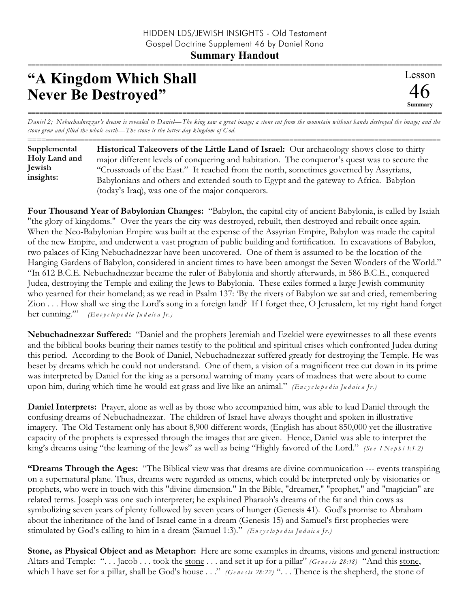## **Summary Handout**

## **"A Kingdom Which Shall Never Be Destroyed"**

=========================================================================================================== *Daniel 2; Nebuchadnezzar's dream is revealed to Daniel—The king saw a great image; a stone cut from the mountain without hands destroyed the image; and the stone grew and filled the whole earth—The stone is the latter-day kingdom of God.*

========================================================================================================== **Historical Takeovers of the Little Land of Israel:** Our archaeology shows close to thirty major different levels of conquering and habitation. The conqueror's quest was to secure the "Crossroads of the East." It reached from the north, sometimes governed by Assyrians, Babylonians and others and extended south to Egypt and the gateway to Africa. Babylon (today's Iraq), was one of the major conquerors. **Supplemental Holy Land and Jewish insights:**

**Four Thousand Year of Babylonian Changes:** "Babylon, the capital city of ancient Babylonia, is called by Isaiah "the glory of kingdoms." Over the years the city was destroyed, rebuilt, then destroyed and rebuilt once again. When the Neo-Babylonian Empire was built at the expense of the Assyrian Empire, Babylon was made the capital of the new Empire, and underwent a vast program of public building and fortification. In excavations of Babylon, two palaces of King Nebuchadnezzar have been uncovered. One of them is assumed to be the location of the Hanging Gardens of Babylon, considered in ancient times to have been amongst the Seven Wonders of the World." "In 612 B.C.E. Nebuchadnezzar became the ruler of Babylonia and shortly afterwards, in 586 B.C.E., conquered Judea, destroying the Temple and exiling the Jews to Babylonia. These exiles formed a large Jewish community who yearned for their homeland; as we read in Psalm 137: 'By the rivers of Babylon we sat and cried, remembering Zion . . . How shall we sing the Lord's song in a foreign land? If I forget thee, O Jerusalem, let my right hand forget her cunning.'" *(En c y c lo p e d ia Ju d a ic a Jr.)*

**Nebuchadnezzar Suffered:** "Daniel and the prophets Jeremiah and Ezekiel were eyewitnesses to all these events and the biblical books bearing their names testify to the political and spiritual crises which confronted Judea during this period. According to the Book of Daniel, Nebuchadnezzar suffered greatly for destroying the Temple. He was beset by dreams which he could not understand. One of them, a vision of a magnificent tree cut down in its prime was interpreted by Daniel for the king as a personal warning of many years of madness that were about to come upon him, during which time he would eat grass and live like an animal." *(En c y c lo p e d ia Ju d a ic a Jr.)*

**Daniel Interprets:** Prayer, alone as well as by those who accompanied him, was able to lead Daniel through the confusing dreams of Nebuchadnezzar. The children of Israel have always thought and spoken in illustrative imagery. The Old Testament only has about 8,900 different words, (English has about 850,000 yet the illustrative capacity of the prophets is expressed through the images that are given. Hence, Daniel was able to interpret the king's dreams using "the learning of the Jews" as well as being "Highly favored of the Lord." *(Se e 1 Ne p h i 1:1-2)*

**"Dreams Through the Ages:** "The Biblical view was that dreams are divine communication --- events transpiring on a supernatural plane. Thus, dreams were regarded as omens, which could be interpreted only by visionaries or prophets, who were in touch with this "divine dimension." In the Bible, "dreamer," "prophet," and "magician" are related terms. Joseph was one such interpreter; he explained Pharaoh's dreams of the fat and thin cows as symbolizing seven years of plenty followed by seven years of hunger (Genesis 41). God's promise to Abraham about the inheritance of the land of Israel came in a dream (Genesis 15) and Samuel's first prophecies were stimulated by God's calling to him in a dream (Samuel 1:3)." *(En c y c lo p e d ia Ju d a ic a Jr.)*

**Stone, as Physical Object and as Metaphor:** Here are some examples in dreams, visions and general instruction: Altars and Temple: ". . . Jacob . . . took the stone . . . and set it up for a pillar" *(Ge n e s is 28:18)* "And this stone, which I have set for a pillar, shall be God's house . . ." *(Ge n e s is 28:22)* ". . . Thence is the shepherd, the stone of